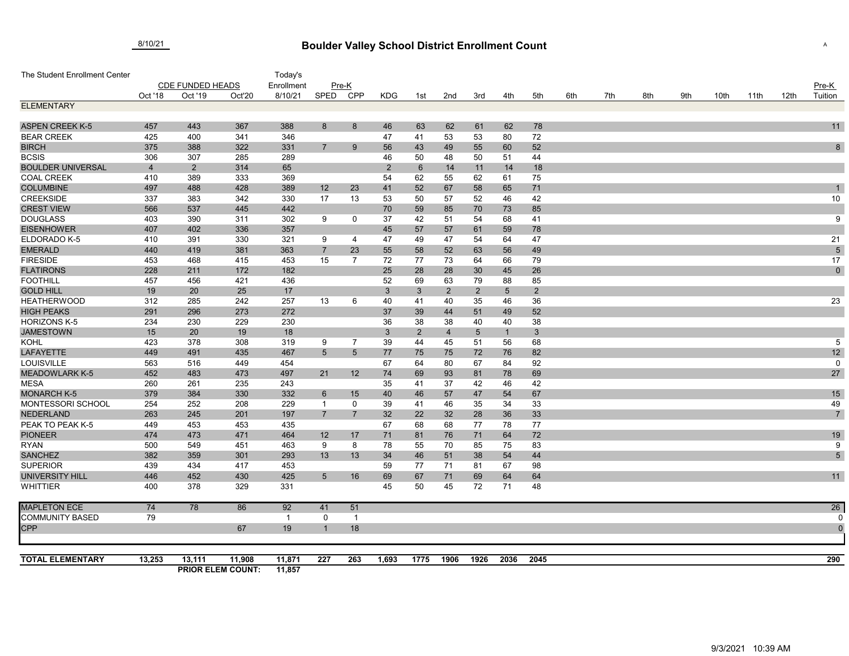## **Boulder Valley School District Enrollment Count** 8/10/21 <sup>A</sup>

| The Student Enrollment Center             |                         |                |                          | Today's      |                     |                     |                |                 |                |                 |                 |                 |     |     |     |     |      |      |      |                     |
|-------------------------------------------|-------------------------|----------------|--------------------------|--------------|---------------------|---------------------|----------------|-----------------|----------------|-----------------|-----------------|-----------------|-----|-----|-----|-----|------|------|------|---------------------|
|                                           | <b>CDE FUNDED HEADS</b> |                |                          | Enrollment   |                     | Pre-K               |                |                 |                |                 |                 |                 |     |     |     |     |      |      |      | Pre-K               |
|                                           | Oct '18                 | Oct '19        | Oct'20                   | 8/10/21      | SPED                | CPP                 | <b>KDG</b>     | 1st             | 2nd            | 3rd             | 4th             | 5th             | 6th | 7th | 8th | 9th | 10th | 11th | 12th | Tuition             |
| <b>ELEMENTARY</b>                         |                         |                |                          |              |                     |                     |                |                 |                |                 |                 |                 |     |     |     |     |      |      |      |                     |
|                                           |                         |                |                          |              |                     |                     |                |                 |                |                 |                 |                 |     |     |     |     |      |      |      |                     |
| <b>ASPEN CREEK K-5</b>                    | 457                     | 443            | 367                      | 388          | 8                   | 8                   | 46             | 63              | 62             | 61              | 62              | 78              |     |     |     |     |      |      |      | 11                  |
| <b>BEAR CREEK</b>                         | 425                     | 400            | 341                      | 346          |                     |                     | 47             | 41              | 53             | 53              | 80              | 72              |     |     |     |     |      |      |      |                     |
| <b>BIRCH</b>                              | 375                     | 388            | 322                      | 331          | $\overline{7}$      | 9                   | 56             | 43              | 49             | 55              | 60              | 52              |     |     |     |     |      |      |      | 8                   |
| <b>BCSIS</b>                              | 306                     | 307            | 285                      | 289          |                     |                     | 46             | 50              | 48             | 50              | 51              | 44              |     |     |     |     |      |      |      |                     |
| <b>BOULDER UNIVERSAL</b>                  | $\overline{4}$          | $\overline{2}$ | 314                      | 65           |                     |                     | $\overline{2}$ | $6\phantom{1}6$ | 14             | 11              | 14              | 18              |     |     |     |     |      |      |      |                     |
| <b>COAL CREEK</b>                         | 410                     | 389            | 333                      | 369          |                     |                     | 54             | 62              | 55             | 62              | 61              | 75              |     |     |     |     |      |      |      |                     |
| <b>COLUMBINE</b>                          | 497                     | 488            | 428                      | 389          | 12                  | 23                  | 41             | 52              | 67             | 58              | 65              | 71              |     |     |     |     |      |      |      |                     |
| <b>CREEKSIDE</b>                          | 337                     | 383            | 342                      | 330          | 17                  | 13                  | 53             | 50              | 57             | 52              | 46              | 42              |     |     |     |     |      |      |      | 10                  |
| <b>CREST VIEW</b>                         | 566                     | 537            | 445                      | 442          |                     |                     | 70             | 59              | 85             | 70              | 73              | 85              |     |     |     |     |      |      |      |                     |
| <b>DOUGLASS</b>                           | 403                     | 390            | 311                      | 302          | 9                   | 0                   | 37             | 42              | 51             | 54              | 68              | 41              |     |     |     |     |      |      |      | 9                   |
| <b>EISENHOWER</b>                         | 407                     | 402            | 336                      | 357          |                     |                     | 45             | 57              | 57             | 61              | 59              | 78              |     |     |     |     |      |      |      |                     |
| ELDORADO K-5                              | 410                     | 391            | 330                      | 321          | 9                   | $\overline{4}$      | 47             | 49              | 47             | 54              | 64              | 47              |     |     |     |     |      |      |      | 21                  |
| <b>EMERALD</b>                            | 440                     | 419            | 381                      | 363          | $\overline{7}$      | 23                  | 55             | 58              | 52             | 63              | 56              | 49              |     |     |     |     |      |      |      | $\overline{5}$      |
| <b>FIRESIDE</b>                           | 453                     | 468            | 415                      | 453          | 15                  | 7                   | 72             | 77              | 73             | 64              | 66              | 79              |     |     |     |     |      |      |      | 17                  |
| <b>FLATIRONS</b>                          | 228                     | 211            | 172                      | 182          |                     |                     | 25             | 28              | 28             | 30              | 45              | 26              |     |     |     |     |      |      |      | $\mathbf 0$         |
| <b>FOOTHILL</b>                           | 457                     | 456            | 421                      | 436          |                     |                     | 52             | 69              | 63             | 79              | 88              | 85              |     |     |     |     |      |      |      |                     |
| <b>GOLD HILL</b>                          | 19                      | 20             | 25                       | 17           |                     |                     | 3              | $\mathbf{3}$    | $\overline{2}$ | $\overline{2}$  | $5\phantom{.0}$ | $\overline{2}$  |     |     |     |     |      |      |      |                     |
| <b>HEATHERWOOD</b>                        | 312                     | 285            | 242                      | 257          | 13                  | 6                   | 40             | 41              | 40             | 35              | 46              | 36              |     |     |     |     |      |      |      | 23                  |
| <b>HIGH PEAKS</b>                         | 291                     | 296            | 273                      | 272          |                     |                     | 37             | 39              | 44             | 51              | 49              | 52              |     |     |     |     |      |      |      |                     |
| <b>HORIZONS K-5</b>                       | 234                     | 230            | 229                      | 230          |                     |                     | 36             | 38              | 38             | 40              | 40              | 38              |     |     |     |     |      |      |      |                     |
| <b>JAMESTOWN</b>                          | 15                      | 20             | 19                       | 18           |                     |                     | $\mathbf{3}$   | $\overline{2}$  | $\overline{4}$ | $5\phantom{.0}$ | $\vert$ 1       | $3\phantom{.0}$ |     |     |     |     |      |      |      |                     |
| <b>KOHL</b>                               | 423                     | 378            | 308                      | 319          | 9                   | $\overline{7}$      | 39             | 44              | 45             | 51              | 56              | 68              |     |     |     |     |      |      |      | 5                   |
| <b>LAFAYETTE</b>                          | 449                     | 491            | 435                      | 467          | $5\phantom{.0}$     | 5                   | 77             | 75              | 75             | 72              | 76              | 82              |     |     |     |     |      |      |      | 12                  |
| <b>LOUISVILLE</b>                         | 563                     | 516            | 449                      | 454          |                     |                     | 67             | 64              | 80             | 67              | 84              | 92              |     |     |     |     |      |      |      | $\mathbf 0$         |
| <b>MEADOWLARK K-5</b>                     | 452                     | 483            | 473                      | 497          | 21                  | 12                  | 74             | 69              | 93             | 81              | 78              | 69              |     |     |     |     |      |      |      | 27                  |
| <b>MESA</b>                               | 260                     | 261            | 235                      | 243          |                     |                     | 35             | 41              | 37             | 42              | 46              | 42              |     |     |     |     |      |      |      |                     |
| <b>MONARCH K-5</b><br>MONTESSORI SCHOOL   | 379<br>254              | 384            | 330                      | 332          | 6<br>$\overline{1}$ | 15                  | 40             | 46              | 57             | 47              | 54              | 67              |     |     |     |     |      |      |      | 15                  |
| <b>NEDERLAND</b>                          |                         | 252<br>245     | 208<br>201               | 229<br>197   |                     | 0<br>$\overline{7}$ | 39             | 41              | 46             | 35<br>28        | 34              | 33              |     |     |     |     |      |      |      | 49                  |
| PEAK TO PEAK K-5                          | 263                     |                |                          |              | $\overline{7}$      |                     | 32             | 22              | 32             |                 | 36              | 33              |     |     |     |     |      |      |      | $\overline{7}$      |
|                                           | 449                     | 453            | 453                      | 435          |                     |                     | 67             | 68              | 68             | 77              | 78              | 77              |     |     |     |     |      |      |      |                     |
| <b>PIONEER</b>                            | 474                     | 473            | 471                      | 464          | 12                  | 17                  | 71             | 81              | 76             | 71              | 64              | 72              |     |     |     |     |      |      |      | 19                  |
| <b>RYAN</b><br><b>SANCHEZ</b>             | 500<br>382              | 549<br>359     | 451<br>301               | 463<br>293   | 9<br>13             | 8<br>13             | 78<br>34       | 55<br>46        | 70<br>51       | 85<br>38        | 75<br>54        | 83<br>44        |     |     |     |     |      |      |      | 9<br>$\overline{5}$ |
|                                           | 439                     | 434            | 417                      | 453          |                     |                     | 59             | 77              | 71             | 81              | 67              | 98              |     |     |     |     |      |      |      |                     |
| <b>SUPERIOR</b><br><b>UNIVERSITY HILL</b> | 446                     | 452            | 430                      | 425          | $5\phantom{.0}$     | 16                  | 69             | 67              | 71             | 69              | 64              | 64              |     |     |     |     |      |      |      | 11                  |
| <b>WHITTIER</b>                           | 400                     | 378            | 329                      | 331          |                     |                     | 45             | 50              | 45             | 72              | 71              | 48              |     |     |     |     |      |      |      |                     |
|                                           |                         |                |                          |              |                     |                     |                |                 |                |                 |                 |                 |     |     |     |     |      |      |      |                     |
| <b>MAPLETON ECE</b>                       | 74                      | 78             | 86                       | 92           | 41                  | 51                  |                |                 |                |                 |                 |                 |     |     |     |     |      |      |      | 26                  |
| <b>COMMUNITY BASED</b>                    | 79                      |                |                          | $\mathbf{1}$ | 0                   | $\overline{1}$      |                |                 |                |                 |                 |                 |     |     |     |     |      |      |      |                     |
| <b>CPP</b>                                |                         |                | 67                       | 19           |                     | 18                  |                |                 |                |                 |                 |                 |     |     |     |     |      |      |      | $\overline{0}$      |
|                                           |                         |                |                          |              |                     |                     |                |                 |                |                 |                 |                 |     |     |     |     |      |      |      |                     |
|                                           |                         |                |                          |              |                     |                     |                |                 |                |                 |                 |                 |     |     |     |     |      |      |      |                     |
| <b>TOTAL ELEMENTARY</b>                   | 13,253                  | 13,111         | 11,908                   | 11,871       | 227                 | 263                 | 1,693          | 1775            | 1906           | 1926            | 2036            | 2045            |     |     |     |     |      |      |      | 290                 |
|                                           |                         |                | <b>PRIOR ELEM COUNT:</b> | 11,857       |                     |                     |                |                 |                |                 |                 |                 |     |     |     |     |      |      |      |                     |